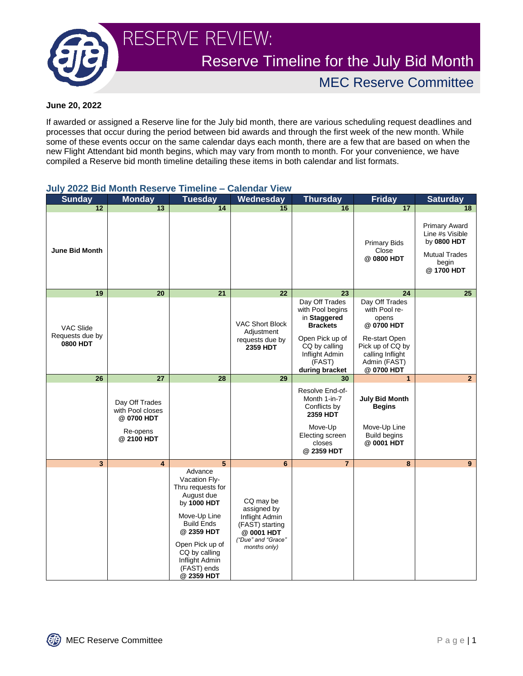

RESERVE REVIEW:

Reserve Timeline for the July Bid Month

MEC Reserve Committee

## **June 20, 2022**

If awarded or assigned a Reserve line for the July bid month, there are various scheduling request deadlines and processes that occur during the period between bid awards and through the first week of the new month. While some of these events occur on the same calendar days each month, there are a few that are based on when the new Flight Attendant bid month begins, which may vary from month to month. For your convenience, we have compiled a Reserve bid month timeline detailing these items in both calendar and list formats.

| <b>UUIV AVAA DIU MUITU</b>                      | 6961 A.C                                        |                                                                                                                                                                                                                  | GHUAI VIGW                                                                                                       |                                                                                                           |                                                                                            |                                                                                                       |
|-------------------------------------------------|-------------------------------------------------|------------------------------------------------------------------------------------------------------------------------------------------------------------------------------------------------------------------|------------------------------------------------------------------------------------------------------------------|-----------------------------------------------------------------------------------------------------------|--------------------------------------------------------------------------------------------|-------------------------------------------------------------------------------------------------------|
| <b>Sunday</b>                                   | <b>Monday</b>                                   | <b>Tuesday</b>                                                                                                                                                                                                   | Wednesday                                                                                                        | <b>Thursday</b>                                                                                           | <b>Friday</b>                                                                              | <b>Saturday</b>                                                                                       |
| $\overline{12}$                                 | $\overline{13}$                                 | 14                                                                                                                                                                                                               | 15                                                                                                               | 16                                                                                                        | $\overline{17}$                                                                            | 18                                                                                                    |
| <b>June Bid Month</b>                           |                                                 |                                                                                                                                                                                                                  |                                                                                                                  |                                                                                                           | <b>Primary Bids</b><br>Close<br>@0800 HDT                                                  | <b>Primary Award</b><br>Line #s Visible<br>by 0800 HDT<br><b>Mutual Trades</b><br>begin<br>@ 1700 HDT |
| 19                                              | 20                                              | 21                                                                                                                                                                                                               | 22                                                                                                               | 23                                                                                                        | 24                                                                                         | 25 <sub>2</sub>                                                                                       |
| VAC Slide<br>Requests due by<br><b>0800 HDT</b> |                                                 |                                                                                                                                                                                                                  | <b>VAC Short Block</b><br>Adjustment<br>requests due by<br>2359 HDT                                              | Day Off Trades<br>with Pool begins<br>in Staggered<br><b>Brackets</b><br>Open Pick up of<br>CQ by calling | Day Off Trades<br>with Pool re-<br>opens<br>@0700 HDT<br>Re-start Open<br>Pick up of CQ by |                                                                                                       |
|                                                 |                                                 |                                                                                                                                                                                                                  |                                                                                                                  | Inflight Admin<br>(FAST)<br>during bracket                                                                | calling Inflight<br>Admin (FAST)<br>@ 0700 HDT                                             |                                                                                                       |
| 26                                              | 27                                              | 28                                                                                                                                                                                                               | 29                                                                                                               | 30                                                                                                        | $\mathbf{1}$                                                                               | 2 <sup>1</sup>                                                                                        |
|                                                 | Day Off Trades<br>with Pool closes<br>@0700 HDT |                                                                                                                                                                                                                  |                                                                                                                  | Resolve End-of-<br>Month 1-in-7<br>Conflicts by<br>2359 HDT<br>Move-Up                                    | <b>July Bid Month</b><br><b>Begins</b><br>Move-Up Line                                     |                                                                                                       |
|                                                 | Re-opens<br>@ 2100 HDT                          |                                                                                                                                                                                                                  |                                                                                                                  | Electing screen<br>closes<br>@ 2359 HDT                                                                   | <b>Build begins</b><br>@ 0001 HDT                                                          |                                                                                                       |
| $\overline{\mathbf{3}}$                         | 4                                               | 5                                                                                                                                                                                                                | 6                                                                                                                | $\overline{7}$                                                                                            | 8                                                                                          | 9 <sup>°</sup>                                                                                        |
|                                                 |                                                 | Advance<br>Vacation Fly-<br>Thru requests for<br>August due<br>by 1000 HDT<br>Move-Up Line<br><b>Build Ends</b><br>@ 2359 HDT<br>Open Pick up of<br>CQ by calling<br>Inflight Admin<br>(FAST) ends<br>@ 2359 HDT | CQ may be<br>assigned by<br>Inflight Admin<br>(FAST) starting<br>@ 0001 HDT<br>"Due" and "Grace"<br>months only) |                                                                                                           |                                                                                            |                                                                                                       |

## **July 2022 Bid Month Reserve Timeline – Calendar View**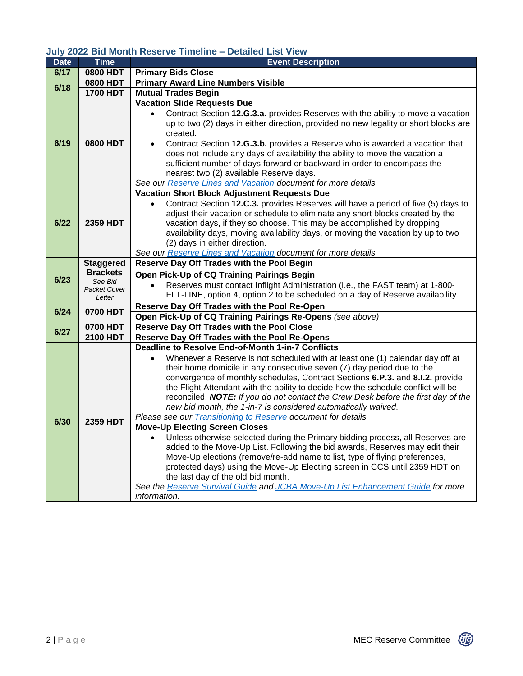## **July 2022 Bid Month Reserve Timeline – Detailed List View**

| <b>Date</b> | <b>Time</b>                   | <b>Event Description</b>                                                                                                                                                             |  |  |  |  |
|-------------|-------------------------------|--------------------------------------------------------------------------------------------------------------------------------------------------------------------------------------|--|--|--|--|
| 6/17        | <b>0800 HDT</b>               | <b>Primary Bids Close</b>                                                                                                                                                            |  |  |  |  |
| 6/18        | 0800 HDT                      | <b>Primary Award Line Numbers Visible</b>                                                                                                                                            |  |  |  |  |
|             | <b>1700 HDT</b>               | <b>Mutual Trades Begin</b>                                                                                                                                                           |  |  |  |  |
| 6/19        | <b>0800 HDT</b>               | <b>Vacation Slide Requests Due</b>                                                                                                                                                   |  |  |  |  |
|             |                               | Contract Section 12.G.3.a. provides Reserves with the ability to move a vacation<br>up to two (2) days in either direction, provided no new legality or short blocks are<br>created. |  |  |  |  |
|             |                               | Contract Section 12.G.3.b. provides a Reserve who is awarded a vacation that<br>$\bullet$                                                                                            |  |  |  |  |
|             |                               | does not include any days of availability the ability to move the vacation a                                                                                                         |  |  |  |  |
|             |                               | sufficient number of days forward or backward in order to encompass the                                                                                                              |  |  |  |  |
|             |                               | nearest two (2) available Reserve days.                                                                                                                                              |  |  |  |  |
|             |                               | See our Reserve Lines and Vacation document for more details.                                                                                                                        |  |  |  |  |
|             |                               | Vacation Short Block Adjustment Requests Due                                                                                                                                         |  |  |  |  |
|             |                               | Contract Section 12.C.3. provides Reserves will have a period of five (5) days to                                                                                                    |  |  |  |  |
|             |                               | adjust their vacation or schedule to eliminate any short blocks created by the                                                                                                       |  |  |  |  |
| 6/22        | 2359 HDT                      | vacation days, if they so choose. This may be accomplished by dropping                                                                                                               |  |  |  |  |
|             |                               | availability days, moving availability days, or moving the vacation by up to two                                                                                                     |  |  |  |  |
|             |                               | (2) days in either direction.                                                                                                                                                        |  |  |  |  |
|             |                               | See our Reserve Lines and Vacation document for more details.                                                                                                                        |  |  |  |  |
|             | <b>Staggered</b>              | Reserve Day Off Trades with the Pool Begin                                                                                                                                           |  |  |  |  |
| 6/23        | <b>Brackets</b><br>See Bid    | Open Pick-Up of CQ Training Pairings Begin                                                                                                                                           |  |  |  |  |
|             | <b>Packet Cover</b><br>Letter | Reserves must contact Inflight Administration (i.e., the FAST team) at 1-800-<br>$\bullet$                                                                                           |  |  |  |  |
|             |                               | FLT-LINE, option 4, option 2 to be scheduled on a day of Reserve availability.                                                                                                       |  |  |  |  |
| 6/24        | 0700 HDT                      | Reserve Day Off Trades with the Pool Re-Open                                                                                                                                         |  |  |  |  |
|             |                               | Open Pick-Up of CQ Training Pairings Re-Opens (see above)                                                                                                                            |  |  |  |  |
| 6/27        | 0700 HDT                      | <b>Reserve Day Off Trades with the Pool Close</b>                                                                                                                                    |  |  |  |  |
|             | <b>2100 HDT</b>               | Reserve Day Off Trades with the Pool Re-Opens                                                                                                                                        |  |  |  |  |
|             | <b>2359 HDT</b>               | <b>Deadline to Resolve End-of-Month 1-in-7 Conflicts</b>                                                                                                                             |  |  |  |  |
|             |                               | Whenever a Reserve is not scheduled with at least one (1) calendar day off at<br>$\bullet$                                                                                           |  |  |  |  |
|             |                               | their home domicile in any consecutive seven (7) day period due to the                                                                                                               |  |  |  |  |
|             |                               | convergence of monthly schedules, Contract Sections 6.P.3. and 8.I.2. provide                                                                                                        |  |  |  |  |
|             |                               | the Flight Attendant with the ability to decide how the schedule conflict will be                                                                                                    |  |  |  |  |
|             |                               | reconciled. NOTE: If you do not contact the Crew Desk before the first day of the                                                                                                    |  |  |  |  |
| 6/30        |                               | new bid month, the 1-in-7 is considered automatically waived.                                                                                                                        |  |  |  |  |
|             |                               | Please see our Transitioning to Reserve document for details.<br><b>Move-Up Electing Screen Closes</b>                                                                               |  |  |  |  |
|             |                               |                                                                                                                                                                                      |  |  |  |  |
|             |                               | Unless otherwise selected during the Primary bidding process, all Reserves are<br>$\bullet$<br>added to the Move-Up List. Following the bid awards, Reserves may edit their          |  |  |  |  |
|             |                               | Move-Up elections (remove/re-add name to list, type of flying preferences,                                                                                                           |  |  |  |  |
|             |                               | protected days) using the Move-Up Electing screen in CCS until 2359 HDT on                                                                                                           |  |  |  |  |
|             |                               | the last day of the old bid month.                                                                                                                                                   |  |  |  |  |
|             |                               | See the Reserve Survival Guide and JCBA Move-Up List Enhancement Guide for more                                                                                                      |  |  |  |  |
|             |                               |                                                                                                                                                                                      |  |  |  |  |
|             |                               | information.                                                                                                                                                                         |  |  |  |  |